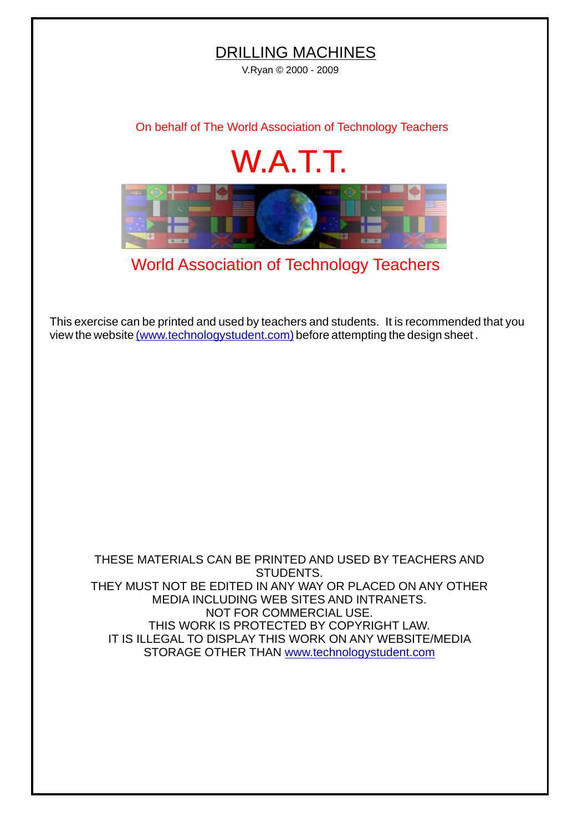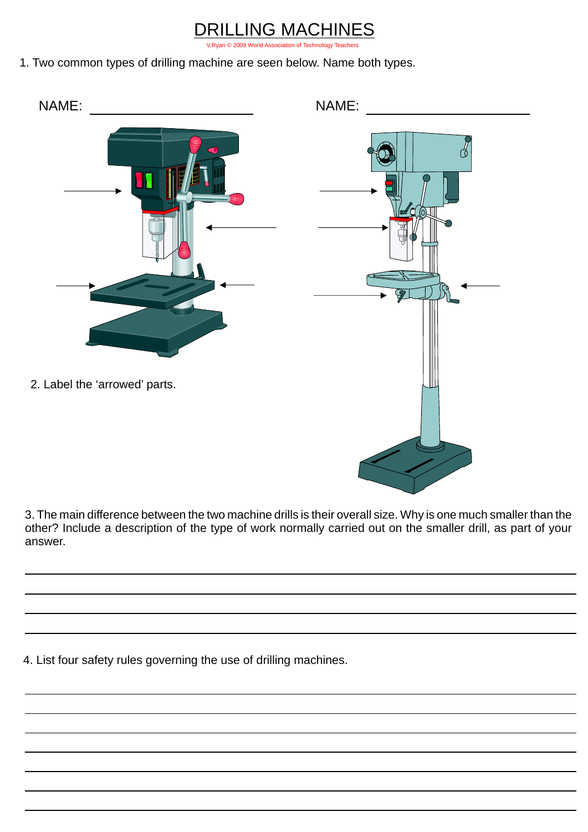## LING MACHINES

[V.Ryan © 2009 World Association of Technology Teachers](http://www.technologystudent.com)

1. Two common types of drilling machine are seen below. Name both types.



3. The main difference between the two machine drills is their overall size. Why is one much smaller than the other? Include a description of the type of work normally carried out on the smaller drill, as part of your answer.

4. List four safety rules governing the use of drilling machines.